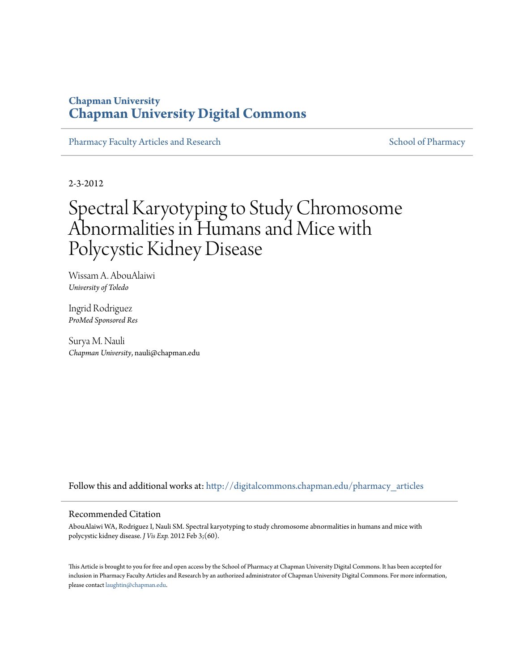# **Chapman University [Chapman University Digital Commons](http://digitalcommons.chapman.edu?utm_source=digitalcommons.chapman.edu%2Fpharmacy_articles%2F12&utm_medium=PDF&utm_campaign=PDFCoverPages)**

[Pharmacy Faculty Articles and Research](http://digitalcommons.chapman.edu/pharmacy_articles?utm_source=digitalcommons.chapman.edu%2Fpharmacy_articles%2F12&utm_medium=PDF&utm_campaign=PDFCoverPages) [School of Pharmacy](http://digitalcommons.chapman.edu/cusp?utm_source=digitalcommons.chapman.edu%2Fpharmacy_articles%2F12&utm_medium=PDF&utm_campaign=PDFCoverPages) School of Pharmacy

2-3-2012

# Spectral Karyotyping to Study Chromosome Abnormalities in Humans and Mice with Polycystic Kidney Disease

Wissam A. AbouAlaiwi *University of Toledo*

Ingrid Rodriguez *ProMed Sponsored Res*

Surya M. Nauli *Chapman University*, nauli@chapman.edu

Follow this and additional works at: [http://digitalcommons.chapman.edu/pharmacy\\_articles](http://digitalcommons.chapman.edu/pharmacy_articles?utm_source=digitalcommons.chapman.edu%2Fpharmacy_articles%2F12&utm_medium=PDF&utm_campaign=PDFCoverPages)

## Recommended Citation

AbouAlaiwi WA, Rodriguez I, Nauli SM. Spectral karyotyping to study chromosome abnormalities in humans and mice with polycystic kidney disease. *J Vis Exp.* 2012 Feb 3;(60).

This Article is brought to you for free and open access by the School of Pharmacy at Chapman University Digital Commons. It has been accepted for inclusion in Pharmacy Faculty Articles and Research by an authorized administrator of Chapman University Digital Commons. For more information, please contact [laughtin@chapman.edu.](mailto:laughtin@chapman.edu)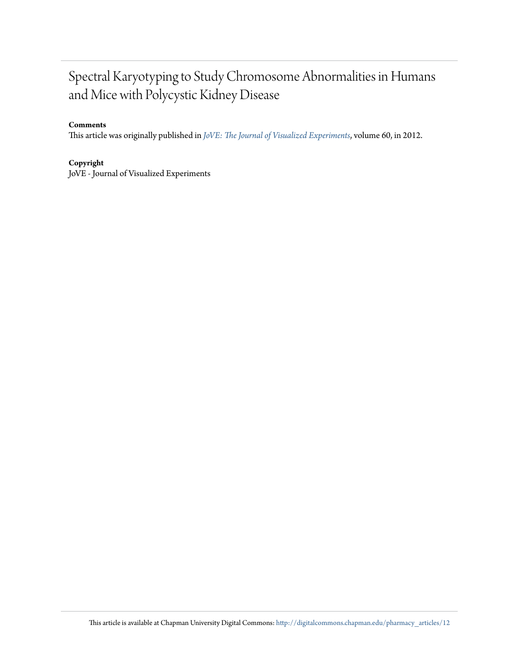# Spectral Karyotyping to Study Chromosome Abnormalities in Humans and Mice with Polycystic Kidney Disease

# **Comments**

This article was originally published in *[JoVE: The Journal of Visualized Experiments](http://www.jove.com/video/3887/spectral-karyotyping-to-study-chromosome-abnormalities-humans-mice)*, volume 60, in 2012.

## **Copyright**

JoVE - Journal of Visualized Experiments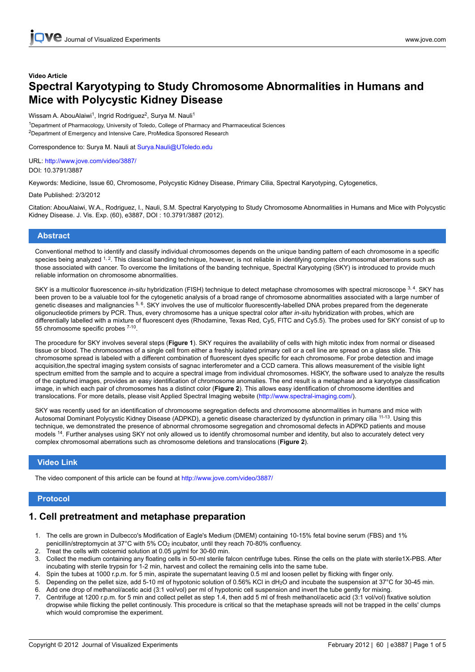# **Video Article Spectral Karyotyping to Study Chromosome Abnormalities in Humans and Mice with Polycystic Kidney Disease**

#### Wissam A. AbouAlaiwi<sup>1</sup>, Ingrid Rodriguez<sup>2</sup>, Surya M. Nauli<sup>1</sup>

<sup>1</sup>Department of Pharmacology, University of Toledo, College of Pharmacy and Pharmaceutical Sciences <sup>2</sup>Department of Emergency and Intensive Care, ProMedica Sponsored Research

Correspondence to: Surya M. Nauli at Surya.Nauli@UToledo.edu

URL: <http://www.jove.com/video/3887/> DOI: 10.3791/3887

Keywords: Medicine, Issue 60, Chromosome, Polycystic Kidney Disease, Primary Cilia, Spectral Karyotyping, Cytogenetics,

#### Date Published: 2/3/2012

Citation: AbouAlaiwi, W.A., Rodriguez, I., Nauli, S.M. Spectral Karyotyping to Study Chromosome Abnormalities in Humans and Mice with Polycystic Kidney Disease. J. Vis. Exp. (60), e3887, DOI : 10.3791/3887 (2012).

#### **Abstract**

Conventional method to identify and classify individual chromosomes depends on the unique banding pattern of each chromosome in a specific species being analyzed  $1.2$ . This classical banding technique, however, is not reliable in identifying complex chromosomal aberrations such as those associated with cancer. To overcome the limitations of the banding technique, Spectral Karyotyping (SKY) is introduced to provide much reliable information on chromosome abnormalities.

SKY is a multicolor fluorescence *in-situ* hybridization (FISH) technique to detect metaphase chromosomes with spectral microscope 3, 4. SKY has been proven to be a valuable tool for the cytogenetic analysis of a broad range of chromosome abnormalities associated with a large number of genetic diseases and malignancies <sup>5, 6</sup>. SKY involves the use of multicolor fluorescently-labelled DNA probes prepared from the degenerate oligonucleotide primers by PCR. Thus, every chromosome has a unique spectral color after *in-situ* hybridization with probes, which are differentially labelled with a mixture of fluorescent dyes (Rhodamine, Texas Red, Cy5, FITC and Cy5.5). The probes used for SKY consist of up to 55 chromosome specific probes 7-10.

The procedure for SKY involves several steps (**Figure 1**). SKY requires the availability of cells with high mitotic index from normal or diseased tissue or blood. The chromosomes of a single cell from either a freshly isolated primary cell or a cell line are spread on a glass slide. This chromosome spread is labeled with a different combination of fluorescent dyes specific for each chromosome. For probe detection and image acquisition,the spectral imaging system consists of sagnac interferometer and a CCD camera. This allows measurement of the visible light spectrum emitted from the sample and to acquire a spectral image from individual chromosomes. HiSKY, the software used to analyze the results of the captured images, provides an easy identification of chromosome anomalies. The end result is a metaphase and a karyotype classification image, in which each pair of chromosomes has a distinct color (**Figure 2**). This allows easy identification of chromosome identities and translocations. For more details, please visit Applied Spectral Imaging website([http://www.spectral-imaging.com/\)](http://www.spectral-imaging.com/).

SKY was recently used for an identification of chromosome segregation defects and chromosome abnormalities in humans and mice with Autosomal Dominant Polycystic Kidney Disease (ADPKD), a genetic disease characterized by dysfunction in primary cilia <sup>11-13</sup>. Using this technique, we demonstrated the presence of abnormal chromosome segregation and chromosomal defects in ADPKD patients and mouse models <sup>14</sup>. Further analyses using SKY not only allowed us to identify chromosomal number and identity, but also to accurately detect very complex chromosomal aberrations such as chromosome deletions and translocations (**Figure 2**).

#### **Video Link**

The video component of this article can be found at <http://www.jove.com/video/3887/>

## **Protocol**

# **1. Cell pretreatment and metaphase preparation**

- 1. The cells are grown in Dulbecco's Modification of Eagle's Medium (DMEM) containing 10-15% fetal bovine serum (FBS) and 1% penicillin/streptomycin at 37°C with 5% CO<sub>2</sub> incubator, until they reach 70-80% confluency.
- 2. Treat the cells with colcemid solution at 0.05 μg/ml for 30-60 min.
- 3. Collect the medium containing any floating cells in 50-ml sterile falcon centrifuge tubes. Rinse the cells on the plate with sterile1X-PBS. After incubating with sterile trypsin for 1-2 min, harvest and collect the remaining cells into the same tube.
- 4. Spin the tubes at 1000 r.p.m. for 5 min, aspirate the supernatant leaving 0.5 ml and loosen pellet by flicking with finger only.
- 5. Depending on the pellet size, add 5-10 ml of hypotonic solution of 0.56% KCl in dH2O and incubate the suspension at 37°C for 30-45 min. 6. Add one drop of methanol/acetic acid (3:1 vol/vol) per ml of hypotonic cell suspension and invert the tube gently for mixing.
- 7. Centrifuge at 1200 r.p.m. for 5 min and collect pellet as step 1.4, then add 5 ml of fresh methanol/acetic acid (3:1 vol/vol) fixative solution dropwise while flicking the pellet continously. This procedure is critical so that the metaphase spreads will not be trapped in the cells' clumps which would compromise the experiment.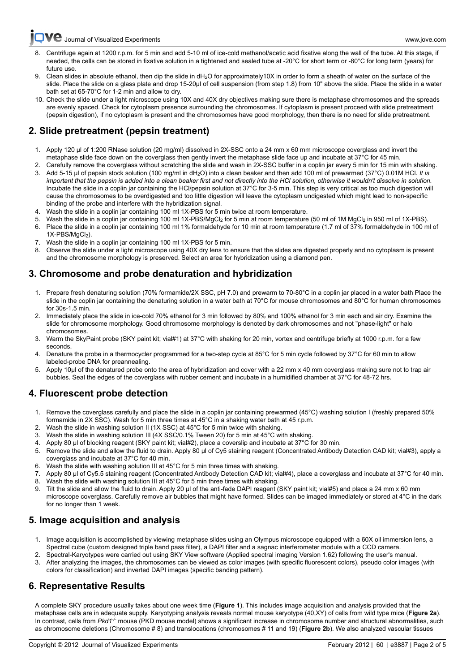**C** [Journal of Visualized Experiments www.jove.com](http://www.jove.com)

- Centrifuge again at 1200 r.p.m. for 5 min and add 5-10 ml of ice-cold methanol/acetic acid fixative along the wall of the tube. At this stage, if needed, the cells can be stored in fixative solution in a tightened and sealed tube at -20°C for short term or -80°C for long term (years) for future use.
- 9. Clean slides in absolute ethanol, then dip the slide in dH<sub>2</sub>O for approximately10X in order to form a sheath of water on the surface of the slide. Place the slide on a glass plate and drop 15-20ul of cell suspension (from step 1.8) from 10" above the slide. Place the slide in a water bath set at 65-70°C for 1-2 min and allow to dry.
- 10. Check the slide under a light microscope using 10X and 40X dry objectives making sure there is metaphase chromosomes and the spreads are evenly spaced. Check for cytoplasm presence surrounding the chromosomes. If cytoplasm is present proceed with slide pretreatment (pepsin digestion), if no cytoplasm is present and the chromosomes have good morphology, then there is no need for slide pretreatment.

# **2. Slide pretreatment (pepsin treatment)**

- 1. Apply 120 μl of 1:200 RNase solution (20 mg/ml) dissolved in 2X-SSC onto a 24 mm x 60 mm microscope coverglass and invert the metaphase slide face down on the coverglass then gently invert the metaphase slide face up and incubate at 37°C for 45 min.
- 2. Carefully remove the coverglass without scratching the slide and wash in 2X-SSC buffer in a coplin jar every 5 min for 15 min with shaking. 3. Add 5-15 μl of pepsin stock solution (100 mg/ml in dH2O) into a clean beaker and then add 100 ml of prewarmed (37°C) 0.01M HCl. *It is*
- *important that the pepsin is added into a clean beaker first and not directly into the HCl solution, otherwise it wouldn't dissolve in solution.* Incubate the slide in a coplin jar containing the HCl/pepsin solution at 37°C for 3-5 min. This step is very critical as too much digestion will cause the chromosomes to be overdigested and too little digestion will leave the cytoplasm undigested which might lead to non-specific binding of the probe and interfere with the hybridization signal.
- 4. Wash the slide in a coplin jar containing 100 ml 1X-PBS for 5 min twice at room temperature.
- 5. Wash the slide in a coplin jar containing 100 ml 1X-PBS/MgCl<sub>2</sub> for 5 min at room temperature (50 ml of 1M MgCl<sub>2</sub> in 950 ml of 1X-PBS).
- 6. Place the slide in a coplin jar containing 100 ml 1% formaldehyde for 10 min at room temperature (1.7 ml of 37% formaldehyde in 100 ml of  $1X-PBS/MgCl<sub>2</sub>$ ).
- 7. Wash the slide in a coplin jar containing 100 ml 1X-PBS for 5 min.
- 8. Observe the slide under a light microscope using 40X dry lens to ensure that the slides are digested properly and no cytoplasm is present and the chromosome morphology is preserved. Select an area for hybridization using a diamond pen.

# **3. Chromosome and probe denaturation and hybridization**

- 1. Prepare fresh denaturing solution (70% formamide/2X SSC, pH 7.0) and prewarm to 70-80°C in a coplin jar placed in a water bath Place the slide in the coplin jar containing the denaturing solution in a water bath at 70°C for mouse chromosomes and 80°C for human chromosomes for 30s-1.5 min.
- 2. Immediately place the slide in ice-cold 70% ethanol for 3 min followed by 80% and 100% ethanol for 3 min each and air dry. Examine the slide for chromosome morphology. Good chromosome morphology is denoted by dark chromosomes and not "phase-light" or halo chromosomes.
- 3. Warm the SkyPaint probe (SKY paint kit; vial#1) at 37°C with shaking for 20 min, vortex and centrifuge briefly at 1000 r.p.m. for a few seconds.
- 4. Denature the probe in a thermocycler programmed for a two-step cycle at 85°C for 5 min cycle followed by 37°C for 60 min to allow labeled-probe DNA for preannealing.
- 5. Apply 10μl of the denatured probe onto the area of hybridization and cover with a 22 mm x 40 mm coverglass making sure not to trap air bubbles. Seal the edges of the coverglass with rubber cement and incubate in a humidified chamber at 37°C for 48-72 hrs.

# **4. Fluorescent probe detection**

- 1. Remove the coverglass carefully and place the slide in a coplin jar containing prewarmed (45°C) washing solution I (freshly prepared 50% formamide in 2X SSC). Wash for 5 min three times at 45°C in a shaking water bath at 45 r.p.m.
- 2. Wash the slide in washing solution II (1X SSC) at 45°C for 5 min twice with shaking.
- 3. Wash the slide in washing solution III (4X SSC/0.1% Tween 20) for 5 min at 45°C with shaking.
- 4. Apply 80 μl of blocking reagent (SKY paint kit; vial#2), place a coverslip and incubate at 37°C for 30 min.
- 5. Remove the slide and allow the fluid to drain. Apply 80 μl of Cy5 staining reagent (Concentrated Antibody Detection CAD kit; vial#3), apply a coverglass and incubate at 37°C for 40 min.
- 6. Wash the slide with washing solution III at 45°C for 5 min three times with shaking.
- 7. Apply 80 μl of Cy5.5 staining reagent (Concentrated Antibody Detection CAD kit; vial#4), place a coverglass and incubate at 37°C for 40 min.
- 8. Wash the slide with washing solution III at 45°C for 5 min three times with shaking.
- 9. Tilt the slide and allow the fluid to drain. Apply 20 μl of the anti-fade DAPI reagent (SKY paint kit; vial#5) and place a 24 mm x 60 mm microscope coverglass. Carefully remove air bubbles that might have formed. Slides can be imaged immediately or stored at 4°C in the dark for no longer than 1 week.

# **5. Image acquisition and analysis**

- 1. Image acquisition is accomplished by viewing metaphase slides using an Olympus microscope equipped with a 60X oil immersion lens, a Spectral cube (custom designed triple band pass filter), a DAPI filter and a sagnac interferometer module with a CCD camera.
	- 2. Spectral-Karyotypes were carried out using SKY View software (Applied spectral imaging Version 1.62) following the user's manual.
- 3. After analyzing the images, the chromosomes can be viewed as color images (with specific fluorescent colors), pseudo color images (with colors for classification) and inverted DAPI images (specific banding pattern).

# **6. Representative Results**

A complete SKY procedure usually takes about one week time (**Figure 1**). This includes image acquisition and analysis provided that the metaphase cells are in adequate supply. Karyotyping analysis reveals normal mouse karyotype (40,XY) of cells from wild type mice (**Figure 2a**). In contrast, cells from *Pkd1-/-* mouse (PKD mouse model) shows a significant increase in chromosome number and structural abnormalities, such as chromosome deletions (Chromosome # 8) and translocations (chromosomes # 11 and 19) (**Figure 2b**). We also analyzed vascular tissues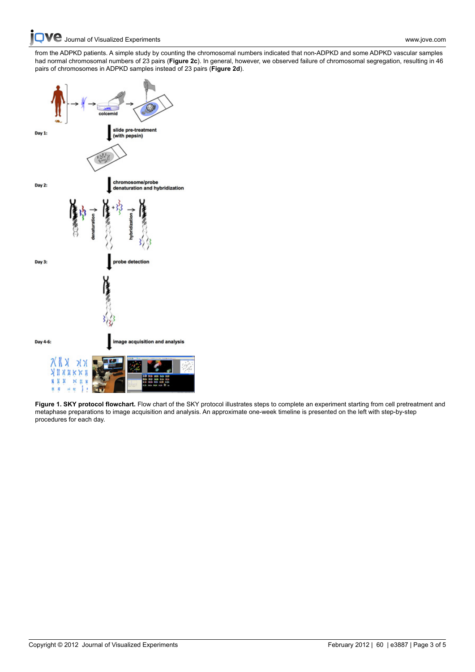[from the A](http://www.jove.com)DPKD patients. A simple study by counting the chromosomal numbers indicated that non-ADPKD and some ADPKD vascular samples had normal chromosomal numbers of 23 pairs (**Figure 2c**). In general, however, we observed failure of chromosomal segregation, resulting in 46 pairs of chromosomes in ADPKD samples instead of 23 pairs (**Figure 2d**).



**Figure 1. SKY protocol flowchart.** Flow chart of the SKY protocol illustrates steps to complete an experiment starting from cell pretreatment and metaphase preparations to image acquisition and analysis. An approximate one-week timeline is presented on the left with step-by-step procedures for each day.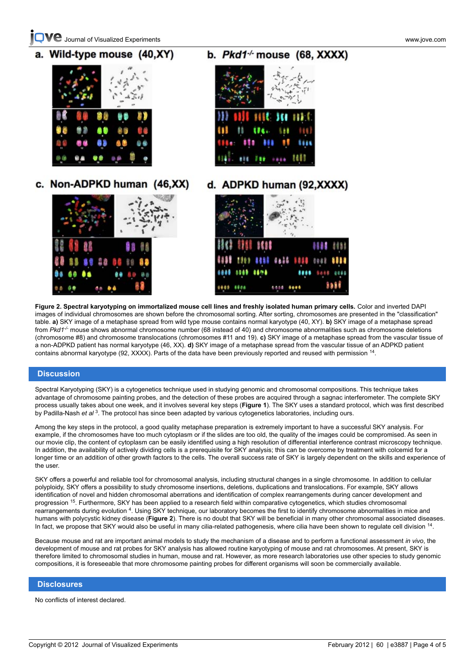[Journal of Visualized Experiments www.jove.com](http://www.jove.com)



c. Non-ADPKD human (46,XX)



# b.  $Pkd1$ <sup>-/-</sup> mouse (68, XXXX)

# d. ADPKD human (92, XXXX)



**Figure 2. Spectral karyotyping on immortalized mouse cell lines and freshly isolated human primary cells.** Color and inverted DAPI images of individual chromosomes are shown before the chromosomal sorting. After sorting, chromosomes are presented in the "classification" table. **a)** SKY image of a metaphase spread from wild type mouse contains normal karyotype (40, XY). **b)** SKY image of a metaphase spread from *Pkd1-/-* mouse shows abnormal chromosome number (68 instead of 40) and chromosome abnormalities such as chromosome deletions (chromosome #8) and chromosome translocations (chromosomes #11 and 19). **c)** SKY image of a metaphase spread from the vascular tissue of a non-ADPKD patient has normal karyotype (46, XX). **d)** SKY image of a metaphase spread from the vascular tissue of an ADPKD patient contains abnormal karyotype (92, XXXX). Parts of the data have been previously reported and reused with permission <sup>14</sup>.

## **Discussion**

Spectral Karyotyping (SKY) is a cytogenetics technique used in studying genomic and chromosomal compositions. This technique takes advantage of chromosome painting probes, and the detection of these probes are acquired through a sagnac interferometer. The complete SKY process usually takes about one week, and it involves several key steps (**Figure 1**). The SKY uses a standard protocol, which was first described by Padilla-Nash *et al* <sup>3</sup> . The protocol has since been adapted by various cytogenetics laboratories, including ours.

Among the key steps in the protocol, a good quality metaphase preparation is extremely important to have a successful SKY analysis. For example, if the chromosomes have too much cytoplasm or if the slides are too old, the quality of the images could be compromised. As seen in our movie clip, the content of cytoplasm can be easily identified using a high resolution of differential interference contrast microscopy technique. In addition, the availability of actively dividing cells is a prerequisite for SKY analysis; this can be overcome by treatment with colcemid for a longer time or an addition of other growth factors to the cells. The overall success rate of SKY is largely dependent on the skills and experience of the user.

SKY offers a powerful and reliable tool for chromosomal analysis, including structural changes in a single chromosome. In addition to cellular polyploidy, SKY offers a possibility to study chromosome insertions, deletions, duplications and translocations. For example, SKY allows identification of novel and hidden chromosomal aberrations and identification of complex rearrangements during cancer development and progression <sup>15</sup>. Furthermore, SKY has been applied to a research field within comparative cytogenetics, which studies chromosomal rearrangements during evolution <sup>4</sup>. Using SKY technique, our laboratory becomes the first to identify chromosome abnormalities in mice and humans with polycystic kidney disease (**Figure 2**). There is no doubt that SKY will be beneficial in many other chromosomal associated diseases. In fact, we propose that SKY would also be useful in many cilia-related pathogenesis, where cilia have been shown to regulate cell division <sup>14</sup>.

Because mouse and rat are important animal models to study the mechanism of a disease and to perform a functional assessment *in vivo*, the development of mouse and rat probes for SKY analysis has allowed routine karyotyping of mouse and rat chromosomes. At present, SKY is therefore limited to chromosomal studies in human, mouse and rat. However, as more research laboratories use other species to study genomic compositions, it is foreseeable that more chromosome painting probes for different organisms will soon be commercially available.

#### **Disclosures**

No conflicts of interest declared.